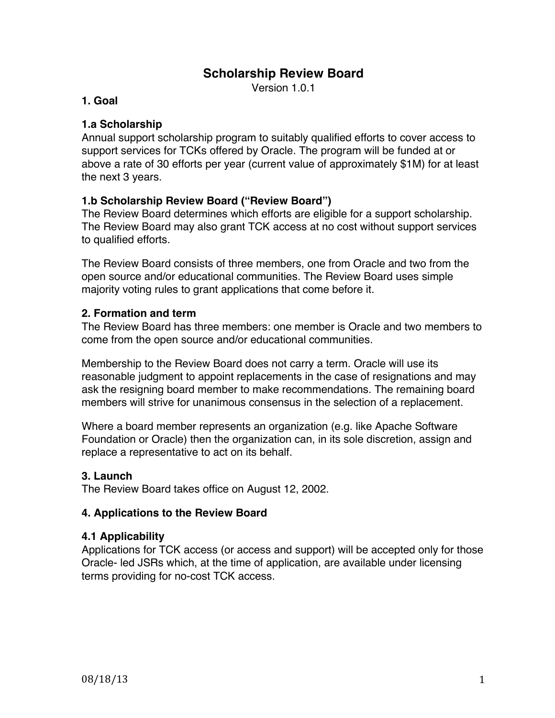# **Scholarship Review Board**

Version 1.0.1

### **1. Goal**

# **1.a Scholarship**

Annual support scholarship program to suitably qualified efforts to cover access to support services for TCKs offered by Oracle. The program will be funded at or above a rate of 30 efforts per year (current value of approximately \$1M) for at least the next 3 years.

# **1.b Scholarship Review Board ("Review Board")**

The Review Board determines which efforts are eligible for a support scholarship. The Review Board may also grant TCK access at no cost without support services to qualified efforts.

The Review Board consists of three members, one from Oracle and two from the open source and/or educational communities. The Review Board uses simple majority voting rules to grant applications that come before it.

# **2. Formation and term**

The Review Board has three members: one member is Oracle and two members to come from the open source and/or educational communities.

Membership to the Review Board does not carry a term. Oracle will use its reasonable judgment to appoint replacements in the case of resignations and may ask the resigning board member to make recommendations. The remaining board members will strive for unanimous consensus in the selection of a replacement.

Where a board member represents an organization (e.g. like Apache Software Foundation or Oracle) then the organization can, in its sole discretion, assign and replace a representative to act on its behalf.

# **3. Launch**

The Review Board takes office on August 12, 2002.

### **4. Applications to the Review Board**

### **4.1 Applicability**

Applications for TCK access (or access and support) will be accepted only for those Oracle- led JSRs which, at the time of application, are available under licensing terms providing for no-cost TCK access.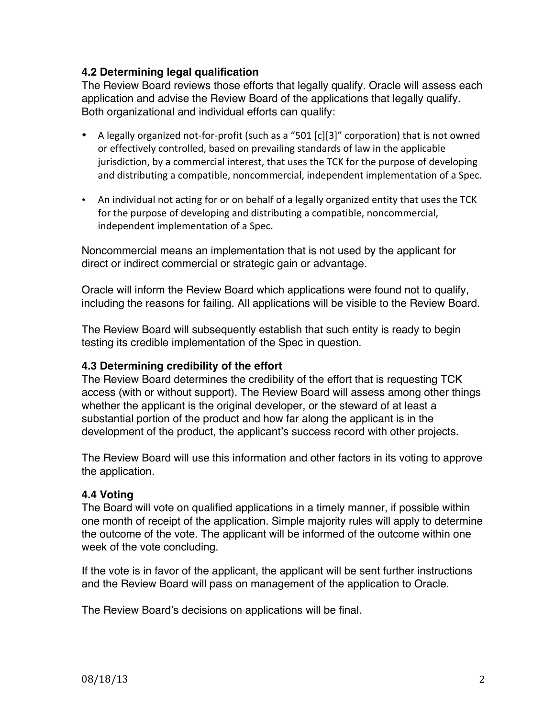# **4.2 Determining legal qualification**

The Review Board reviews those efforts that legally qualify. Oracle will assess each application and advise the Review Board of the applications that legally qualify. Both organizational and individual efforts can qualify:

- A legally organized not-for-profit (such as a "501 [c][3]" corporation) that is not owned or effectively controlled, based on prevailing standards of law in the applicable jurisdiction, by a commercial interest, that uses the TCK for the purpose of developing and distributing a compatible, noncommercial, independent implementation of a Spec.
- An individual not acting for or on behalf of a legally organized entity that uses the TCK for the purpose of developing and distributing a compatible, noncommercial, independent implementation of a Spec.

Noncommercial means an implementation that is not used by the applicant for direct or indirect commercial or strategic gain or advantage.

Oracle will inform the Review Board which applications were found not to qualify, including the reasons for failing. All applications will be visible to the Review Board.

The Review Board will subsequently establish that such entity is ready to begin testing its credible implementation of the Spec in question.

### **4.3 Determining credibility of the effort**

The Review Board determines the credibility of the effort that is requesting TCK access (with or without support). The Review Board will assess among other things whether the applicant is the original developer, or the steward of at least a substantial portion of the product and how far along the applicant is in the development of the product, the applicant's success record with other projects.

The Review Board will use this information and other factors in its voting to approve the application.

# **4.4 Voting**

The Board will vote on qualified applications in a timely manner, if possible within one month of receipt of the application. Simple majority rules will apply to determine the outcome of the vote. The applicant will be informed of the outcome within one week of the vote concluding.

If the vote is in favor of the applicant, the applicant will be sent further instructions and the Review Board will pass on management of the application to Oracle.

The Review Board's decisions on applications will be final.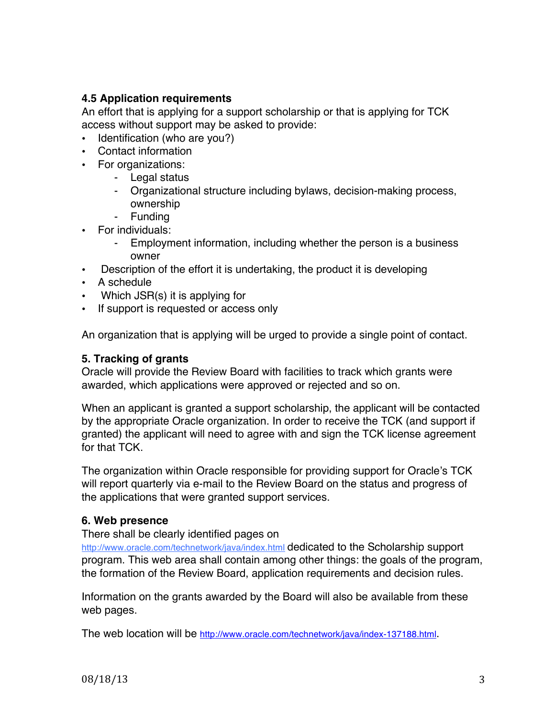# **4.5 Application requirements**

An effort that is applying for a support scholarship or that is applying for TCK access without support may be asked to provide:

- Identification (who are you?)
- Contact information
- For organizations:
	- Legal status
	- Organizational structure including bylaws, decision-making process, ownership
	- Funding
- For individuals:
	- Employment information, including whether the person is a business owner
- Description of the effort it is undertaking, the product it is developing
- A schedule
- Which JSR(s) it is applying for
- If support is requested or access only

An organization that is applying will be urged to provide a single point of contact.

#### **5. Tracking of grants**

Oracle will provide the Review Board with facilities to track which grants were awarded, which applications were approved or rejected and so on.

When an applicant is granted a support scholarship, the applicant will be contacted by the appropriate Oracle organization. In order to receive the TCK (and support if granted) the applicant will need to agree with and sign the TCK license agreement for that TCK.

The organization within Oracle responsible for providing support for Oracle's TCK will report quarterly via e-mail to the Review Board on the status and progress of the applications that were granted support services.

### **6. Web presence**

There shall be clearly identified pages on

http://www.oracle.com/technetwork/java/index.html dedicated to the Scholarship support program. This web area shall contain among other things: the goals of the program, the formation of the Review Board, application requirements and decision rules.

Information on the grants awarded by the Board will also be available from these web pages.

The web location will be http://www.oracle.com/technetwork/java/index-137188.html.